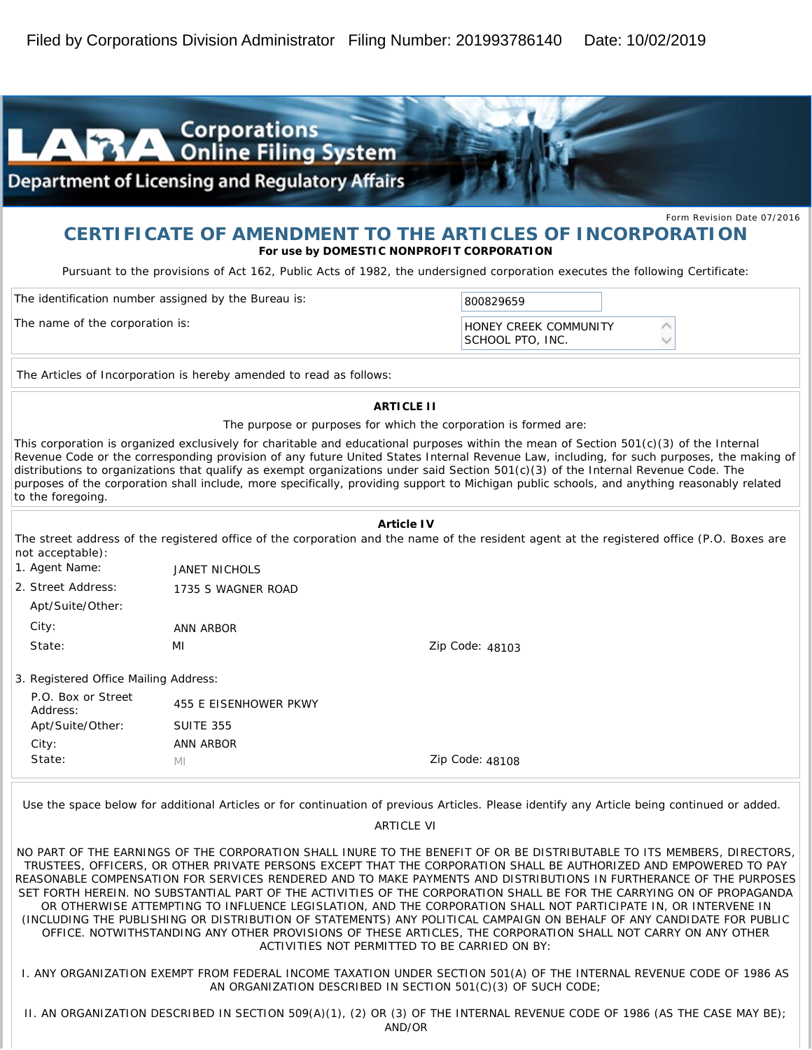

### **CERTIFICATE OF AMENDMENT TO THE ARTICLES OF INCORPORATION For use by DOMESTIC NONPROFIT CORPORATION**

*Pursuant to the provisions of Act 162, Public Acts of 1982, the undersigned corporation executes the following Certificate:*

| The identification number assigned by the Bureau is: | 800829659                                        |  |
|------------------------------------------------------|--------------------------------------------------|--|
| The name of the corporation is:                      | <b>HONEY CREEK COMMUNITY</b><br>SCHOOL PTO. INC. |  |

The Articles of Incorporation is hereby amended to read as follows:

**ARTICLE II**

The purpose or purposes for which the corporation is formed are:

This corporation is organized exclusively for charitable and educational purposes within the mean of Section 501(c)(3) of the Internal Revenue Code or the corresponding provision of any future United States Internal Revenue Law, including, for such purposes, the making of distributions to organizations that qualify as exempt organizations under said Section 501(c)(3) of the Internal Revenue Code. The purposes of the corporation shall include, more specifically, providing support to Michigan public schools, and anything reasonably related to the foregoing.

| not acceptable):                      | Article IV<br>The street address of the registered office of the corporation and the name of the resident agent at the registered office (P.O. Boxes are |                 |  |  |  |
|---------------------------------------|----------------------------------------------------------------------------------------------------------------------------------------------------------|-----------------|--|--|--|
| 1. Agent Name:                        | <b>JANET NICHOLS</b>                                                                                                                                     |                 |  |  |  |
| 2. Street Address:                    | 1735 S WAGNER ROAD                                                                                                                                       |                 |  |  |  |
| Apt/Suite/Other:                      |                                                                                                                                                          |                 |  |  |  |
| City:                                 | ANN ARBOR                                                                                                                                                |                 |  |  |  |
| State:                                | MI                                                                                                                                                       | Zip Code: 48103 |  |  |  |
| 3. Registered Office Mailing Address: |                                                                                                                                                          |                 |  |  |  |
| P.O. Box or Street<br>Address:        | 455 E EISENHOWER PKWY                                                                                                                                    |                 |  |  |  |
| Apt/Suite/Other:                      | <b>SUITE 355</b>                                                                                                                                         |                 |  |  |  |
| City:                                 | ANN ARBOR                                                                                                                                                |                 |  |  |  |
| State:                                | MI                                                                                                                                                       | Zip Code: 48108 |  |  |  |

Use the space below for additional Articles or for continuation of previous Articles. Please identify any Article being continued or added.

ARTICLE VI

NO PART OF THE EARNINGS OF THE CORPORATION SHALL INURE TO THE BENEFIT OF OR BE DISTRIBUTABLE TO ITS MEMBERS, DIRECTORS, TRUSTEES, OFFICERS, OR OTHER PRIVATE PERSONS EXCEPT THAT THE CORPORATION SHALL BE AUTHORIZED AND EMPOWERED TO PAY REASONABLE COMPENSATION FOR SERVICES RENDERED AND TO MAKE PAYMENTS AND DISTRIBUTIONS IN FURTHERANCE OF THE PURPOSES SET FORTH HEREIN. NO SUBSTANTIAL PART OF THE ACTIVITIES OF THE CORPORATION SHALL BE FOR THE CARRYING ON OF PROPAGANDA OR OTHERWISE ATTEMPTING TO INFLUENCE LEGISLATION, AND THE CORPORATION SHALL NOT PARTICIPATE IN, OR INTERVENE IN (INCLUDING THE PUBLISHING OR DISTRIBUTION OF STATEMENTS) ANY POLITICAL CAMPAIGN ON BEHALF OF ANY CANDIDATE FOR PUBLIC OFFICE. NOTWITHSTANDING ANY OTHER PROVISIONS OF THESE ARTICLES, THE CORPORATION SHALL NOT CARRY ON ANY OTHER ACTIVITIES NOT PERMITTED TO BE CARRIED ON BY:

I. ANY ORGANIZATION EXEMPT FROM FEDERAL INCOME TAXATION UNDER SECTION 501(A) OF THE INTERNAL REVENUE CODE OF 1986 AS AN ORGANIZATION DESCRIBED IN SECTION 501(C)(3) OF SUCH CODE;

II. AN ORGANIZATION DESCRIBED IN SECTION 509(A)(1), (2) OR (3) OF THE INTERNAL REVENUE CODE OF 1986 (AS THE CASE MAY BE); AND/OR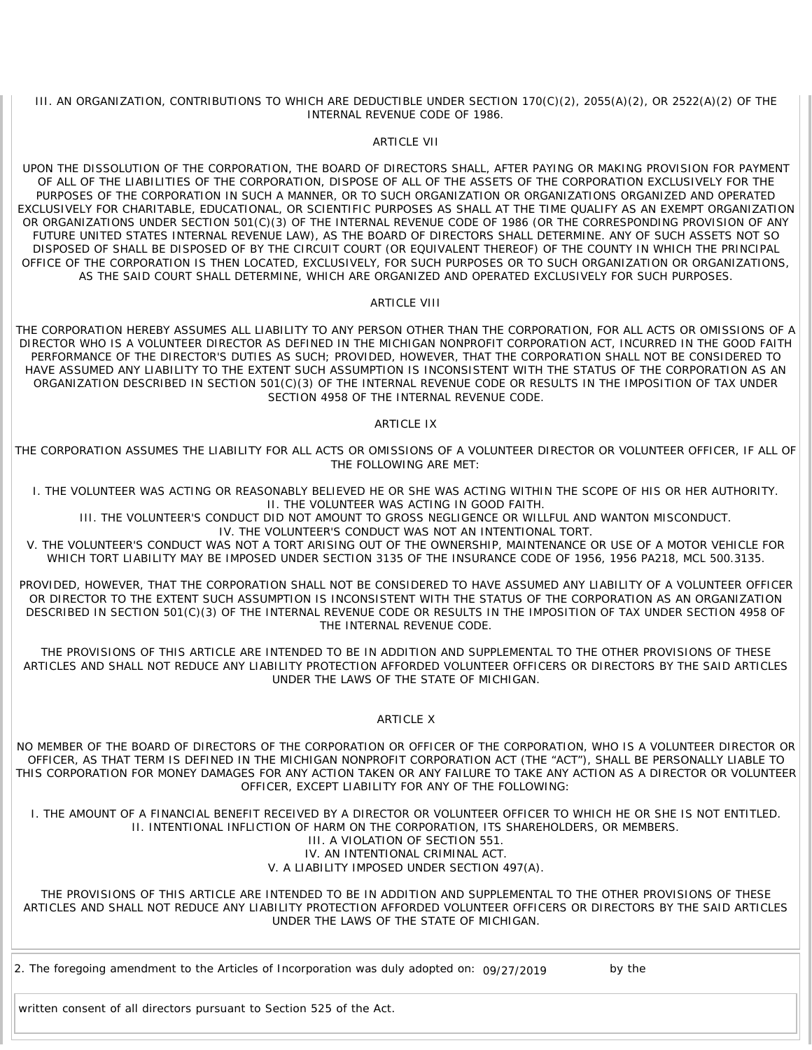III. AN ORGANIZATION, CONTRIBUTIONS TO WHICH ARE DEDUCTIBLE UNDER SECTION 170(C)(2), 2055(A)(2), OR 2522(A)(2) OF THE INTERNAL REVENUE CODE OF 1986.

#### ARTICLE VII

UPON THE DISSOLUTION OF THE CORPORATION, THE BOARD OF DIRECTORS SHALL, AFTER PAYING OR MAKING PROVISION FOR PAYMENT OF ALL OF THE LIABILITIES OF THE CORPORATION, DISPOSE OF ALL OF THE ASSETS OF THE CORPORATION EXCLUSIVELY FOR THE PURPOSES OF THE CORPORATION IN SUCH A MANNER, OR TO SUCH ORGANIZATION OR ORGANIZATIONS ORGANIZED AND OPERATED EXCLUSIVELY FOR CHARITABLE, EDUCATIONAL, OR SCIENTIFIC PURPOSES AS SHALL AT THE TIME QUALIFY AS AN EXEMPT ORGANIZATION OR ORGANIZATIONS UNDER SECTION 501(C)(3) OF THE INTERNAL REVENUE CODE OF 1986 (OR THE CORRESPONDING PROVISION OF ANY FUTURE UNITED STATES INTERNAL REVENUE LAW), AS THE BOARD OF DIRECTORS SHALL DETERMINE. ANY OF SUCH ASSETS NOT SO DISPOSED OF SHALL BE DISPOSED OF BY THE CIRCUIT COURT (OR EQUIVALENT THEREOF) OF THE COUNTY IN WHICH THE PRINCIPAL OFFICE OF THE CORPORATION IS THEN LOCATED, EXCLUSIVELY, FOR SUCH PURPOSES OR TO SUCH ORGANIZATION OR ORGANIZATIONS, AS THE SAID COURT SHALL DETERMINE, WHICH ARE ORGANIZED AND OPERATED EXCLUSIVELY FOR SUCH PURPOSES.

#### ARTICLE VIII

THE CORPORATION HEREBY ASSUMES ALL LIABILITY TO ANY PERSON OTHER THAN THE CORPORATION, FOR ALL ACTS OR OMISSIONS OF A DIRECTOR WHO IS A VOLUNTEER DIRECTOR AS DEFINED IN THE MICHIGAN NONPROFIT CORPORATION ACT, INCURRED IN THE GOOD FAITH PERFORMANCE OF THE DIRECTOR'S DUTIES AS SUCH; PROVIDED, HOWEVER, THAT THE CORPORATION SHALL NOT BE CONSIDERED TO HAVE ASSUMED ANY LIABILITY TO THE EXTENT SUCH ASSUMPTION IS INCONSISTENT WITH THE STATUS OF THE CORPORATION AS AN ORGANIZATION DESCRIBED IN SECTION 501(C)(3) OF THE INTERNAL REVENUE CODE OR RESULTS IN THE IMPOSITION OF TAX UNDER SECTION 4958 OF THE INTERNAL REVENUE CODE.

#### ARTICLE IX

THE CORPORATION ASSUMES THE LIABILITY FOR ALL ACTS OR OMISSIONS OF A VOLUNTEER DIRECTOR OR VOLUNTEER OFFICER, IF ALL OF THE FOLLOWING ARE MET:

I. THE VOLUNTEER WAS ACTING OR REASONABLY BELIEVED HE OR SHE WAS ACTING WITHIN THE SCOPE OF HIS OR HER AUTHORITY. II. THE VOLUNTEER WAS ACTING IN GOOD FAITH.

III. THE VOLUNTEER'S CONDUCT DID NOT AMOUNT TO GROSS NEGLIGENCE OR WILLFUL AND WANTON MISCONDUCT. IV. THE VOLUNTEER'S CONDUCT WAS NOT AN INTENTIONAL TORT.

V. THE VOLUNTEER'S CONDUCT WAS NOT A TORT ARISING OUT OF THE OWNERSHIP, MAINTENANCE OR USE OF A MOTOR VEHICLE FOR WHICH TORT LIABILITY MAY BE IMPOSED UNDER SECTION 3135 OF THE INSURANCE CODE OF 1956, 1956 PA218, MCL 500.3135.

PROVIDED, HOWEVER, THAT THE CORPORATION SHALL NOT BE CONSIDERED TO HAVE ASSUMED ANY LIABILITY OF A VOLUNTEER OFFICER OR DIRECTOR TO THE EXTENT SUCH ASSUMPTION IS INCONSISTENT WITH THE STATUS OF THE CORPORATION AS AN ORGANIZATION DESCRIBED IN SECTION 501(C)(3) OF THE INTERNAL REVENUE CODE OR RESULTS IN THE IMPOSITION OF TAX UNDER SECTION 4958 OF THE INTERNAL REVENUE CODE.

THE PROVISIONS OF THIS ARTICLE ARE INTENDED TO BE IN ADDITION AND SUPPLEMENTAL TO THE OTHER PROVISIONS OF THESE ARTICLES AND SHALL NOT REDUCE ANY LIABILITY PROTECTION AFFORDED VOLUNTEER OFFICERS OR DIRECTORS BY THE SAID ARTICLES UNDER THE LAWS OF THE STATE OF MICHIGAN.

#### **ARTICLE X**

NO MEMBER OF THE BOARD OF DIRECTORS OF THE CORPORATION OR OFFICER OF THE CORPORATION, WHO IS A VOLUNTEER DIRECTOR OR OFFICER, AS THAT TERM IS DEFINED IN THE MICHIGAN NONPROFIT CORPORATION ACT (THE "ACT"), SHALL BE PERSONALLY LIABLE TO THIS CORPORATION FOR MONEY DAMAGES FOR ANY ACTION TAKEN OR ANY FAILURE TO TAKE ANY ACTION AS A DIRECTOR OR VOLUNTEER OFFICER, EXCEPT LIABILITY FOR ANY OF THE FOLLOWING:

I. THE AMOUNT OF A FINANCIAL BENEFIT RECEIVED BY A DIRECTOR OR VOLUNTEER OFFICER TO WHICH HE OR SHE IS NOT ENTITLED. II. INTENTIONAL INFLICTION OF HARM ON THE CORPORATION, ITS SHAREHOLDERS, OR MEMBERS. III. A VIOLATION OF SECTION 551. IV. AN INTENTIONAL CRIMINAL ACT.

V. A LIABILITY IMPOSED UNDER SECTION 497(A).

THE PROVISIONS OF THIS ARTICLE ARE INTENDED TO BE IN ADDITION AND SUPPLEMENTAL TO THE OTHER PROVISIONS OF THESE ARTICLES AND SHALL NOT REDUCE ANY LIABILITY PROTECTION AFFORDED VOLUNTEER OFFICERS OR DIRECTORS BY THE SAID ARTICLES UNDER THE LAWS OF THE STATE OF MICHIGAN.

2. The foregoing amendment to the Articles of Incorporation was duly adopted on: 09/27/2019 by the

written consent of all directors pursuant to Section 525 of the Act.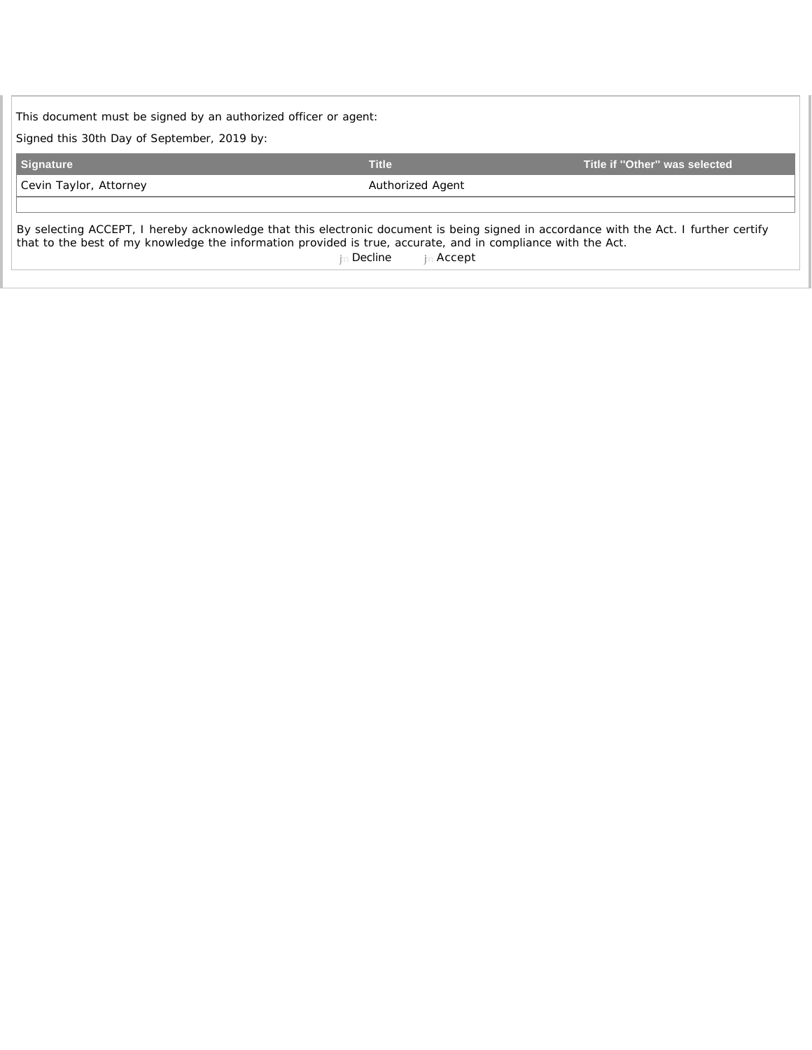| This document must be signed by an authorized officer or agent: |                                                                                                                                      |                                                                                                                                       |  |  |  |
|-----------------------------------------------------------------|--------------------------------------------------------------------------------------------------------------------------------------|---------------------------------------------------------------------------------------------------------------------------------------|--|--|--|
| Signed this 30th Day of September, 2019 by:                     |                                                                                                                                      |                                                                                                                                       |  |  |  |
| <b>Signature</b>                                                | <b>Title</b>                                                                                                                         | Title if "Other" was selected                                                                                                         |  |  |  |
| Cevin Taylor, Attorney                                          | Authorized Agent                                                                                                                     |                                                                                                                                       |  |  |  |
|                                                                 | that to the best of my knowledge the information provided is true, accurate, and in compliance with the Act.<br>∟Decline⊹<br>⊦Accept | By selecting ACCEPT, I hereby acknowledge that this electronic document is being signed in accordance with the Act. I further certify |  |  |  |